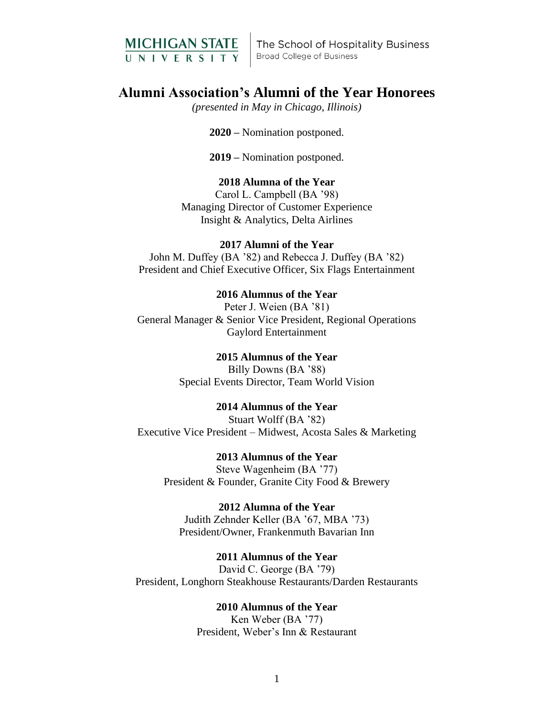

The School of Hospitality Business **Broad College of Business** 

# **Alumni Association's Alumni of the Year Honorees**

*(presented in May in Chicago, Illinois)*

**2020 –** Nomination postponed.

**2019 –** Nomination postponed.

### **2018 Alumna of the Year**

Carol L. Campbell (BA '98) Managing Director of Customer Experience Insight & Analytics, Delta Airlines

# **2017 Alumni of the Year**

John M. Duffey (BA '82) and Rebecca J. Duffey (BA '82) President and Chief Executive Officer, Six Flags Entertainment

### **2016 Alumnus of the Year**

Peter J. Weien (BA '81) General Manager & Senior Vice President, Regional Operations Gaylord Entertainment

### **2015 Alumnus of the Year** Billy Downs (BA '88)

Special Events Director, Team World Vision

# **2014 Alumnus of the Year**

Stuart Wolff (BA '82) Executive Vice President – Midwest, Acosta Sales & Marketing

**2013 Alumnus of the Year**  Steve Wagenheim (BA '77) President & Founder, Granite City Food & Brewery

**2012 Alumna of the Year** Judith Zehnder Keller (BA '67, MBA '73) President/Owner, Frankenmuth Bavarian Inn

**2011 Alumnus of the Year** David C. George (BA '79) President, Longhorn Steakhouse Restaurants/Darden Restaurants

# **2010 Alumnus of the Year**

Ken Weber (BA '77) President, Weber's Inn & Restaurant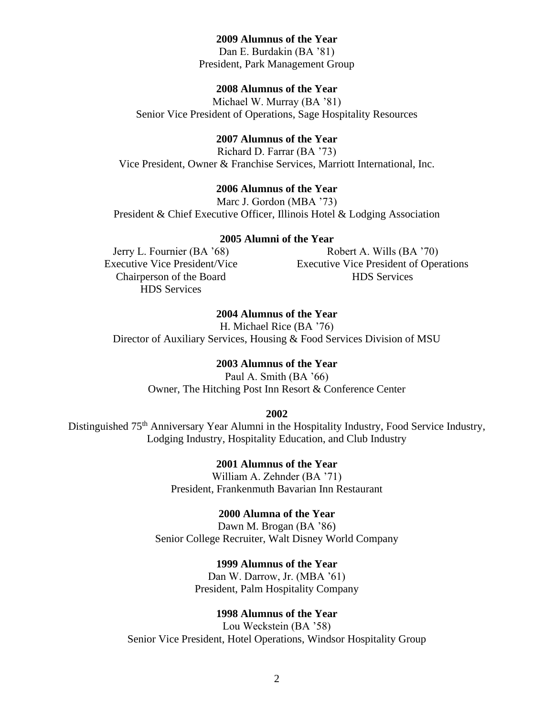### **2009 Alumnus of the Year**

Dan E. Burdakin (BA '81) President, Park Management Group

# **2008 Alumnus of the Year**

Michael W. Murray (BA '81) Senior Vice President of Operations, Sage Hospitality Resources

# **2007 Alumnus of the Year**

Richard D. Farrar (BA '73) Vice President, Owner & Franchise Services, Marriott International, Inc.

## **2006 Alumnus of the Year**

Marc J. Gordon (MBA '73) President & Chief Executive Officer, Illinois Hotel & Lodging Association

### **2005 Alumni of the Year**

Jerry L. Fournier (BA '68) Executive Vice President/Vice Chairperson of the Board HDS Services

Robert A. Wills (BA '70) Executive Vice President of Operations HDS Services

# **2004 Alumnus of the Year**

H. Michael Rice (BA '76) Director of Auxiliary Services, Housing & Food Services Division of MSU

# **2003 Alumnus of the Year**

Paul A. Smith (BA '66) Owner, The Hitching Post Inn Resort & Conference Center

#### **2002**

Distinguished 75<sup>th</sup> Anniversary Year Alumni in the Hospitality Industry, Food Service Industry, Lodging Industry, Hospitality Education, and Club Industry

> **2001 Alumnus of the Year** William A. Zehnder (BA '71) President, Frankenmuth Bavarian Inn Restaurant

**2000 Alumna of the Year** Dawn M. Brogan (BA '86) Senior College Recruiter, Walt Disney World Company

> **1999 Alumnus of the Year** Dan W. Darrow, Jr. (MBA '61) President, Palm Hospitality Company

# **1998 Alumnus of the Year**

Lou Weckstein (BA '58) Senior Vice President, Hotel Operations, Windsor Hospitality Group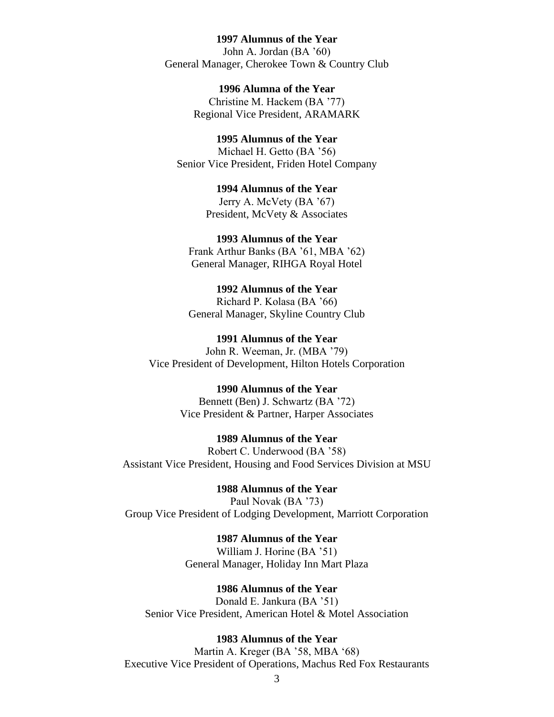### **1997 Alumnus of the Year**

John A. Jordan (BA '60) General Manager, Cherokee Town & Country Club

> **1996 Alumna of the Year** Christine M. Hackem (BA '77) Regional Vice President, ARAMARK

**1995 Alumnus of the Year** Michael H. Getto (BA '56) Senior Vice President, Friden Hotel Company

> **1994 Alumnus of the Year** Jerry A. McVety (BA '67) President, McVety & Associates

**1993 Alumnus of the Year** Frank Arthur Banks (BA '61, MBA '62) General Manager, RIHGA Royal Hotel

**1992 Alumnus of the Year** Richard P. Kolasa (BA '66) General Manager, Skyline Country Club

**1991 Alumnus of the Year** John R. Weeman, Jr. (MBA '79) Vice President of Development, Hilton Hotels Corporation

> **1990 Alumnus of the Year** Bennett (Ben) J. Schwartz (BA '72) Vice President & Partner, Harper Associates

**1989 Alumnus of the Year** Robert C. Underwood (BA '58) Assistant Vice President, Housing and Food Services Division at MSU

**1988 Alumnus of the Year** Paul Novak (BA '73) Group Vice President of Lodging Development, Marriott Corporation

> **1987 Alumnus of the Year** William J. Horine (BA '51) General Manager, Holiday Inn Mart Plaza

**1986 Alumnus of the Year** Donald E. Jankura (BA '51) Senior Vice President, American Hotel & Motel Association

#### **1983 Alumnus of the Year**

Martin A. Kreger (BA '58, MBA '68) Executive Vice President of Operations, Machus Red Fox Restaurants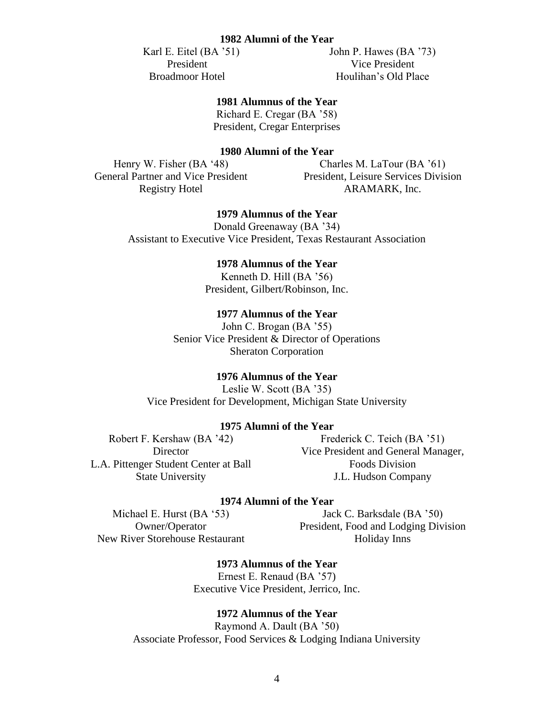### **1982 Alumni of the Year**

 Karl E. Eitel (BA '51) President Broadmoor Hotel

John P. Hawes (BA '73) Vice President Houlihan's Old Place

# **1981 Alumnus of the Year**

Richard E. Cregar (BA '58) President, Cregar Enterprises

# **1980 Alumni of the Year**

Henry W. Fisher (BA '48) General Partner and Vice President Registry Hotel

Charles M. LaTour (BA '61) President, Leisure Services Division ARAMARK, Inc.

# **1979 Alumnus of the Year**

Donald Greenaway (BA '34) Assistant to Executive Vice President, Texas Restaurant Association

# **1978 Alumnus of the Year**

Kenneth D. Hill (BA '56) President, Gilbert/Robinson, Inc.

# **1977 Alumnus of the Year**

John C. Brogan (BA '55) Senior Vice President & Director of Operations Sheraton Corporation

### **1976 Alumnus of the Year**

Leslie W. Scott (BA '35) Vice President for Development, Michigan State University

### **1975 Alumni of the Year**

Robert F. Kershaw (BA '42) **Director** L.A. Pittenger Student Center at Ball State University

Frederick C. Teich (BA '51) Vice President and General Manager, Foods Division J.L. Hudson Company

# **1974 Alumni of the Year**

Michael E. Hurst (BA '53) Owner/Operator New River Storehouse Restaurant

Jack C. Barksdale (BA '50) President, Food and Lodging Division Holiday Inns

**1973 Alumnus of the Year** Ernest E. Renaud (BA '57) Executive Vice President, Jerrico, Inc.

### **1972 Alumnus of the Year**

Raymond A. Dault (BA '50) Associate Professor, Food Services & Lodging Indiana University